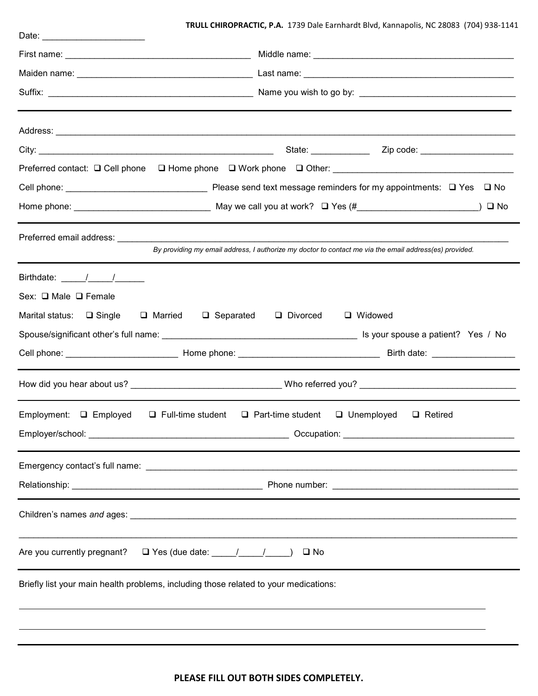## **TRULL CHIROPRACTIC, P.A.** 1739 Dale Earnhardt Blvd, Kannapolis, NC 28083 (704) 938-1141

|                                                                                                                                                                                                                                                                                                                                                                                                                      | Zip code: _____________________                                                                                               |  |  |  |  |  |  |
|----------------------------------------------------------------------------------------------------------------------------------------------------------------------------------------------------------------------------------------------------------------------------------------------------------------------------------------------------------------------------------------------------------------------|-------------------------------------------------------------------------------------------------------------------------------|--|--|--|--|--|--|
|                                                                                                                                                                                                                                                                                                                                                                                                                      | Preferred contact: $\Box$ Cell phone $\Box$ Home phone $\Box$ Work phone $\Box$ Other:                                        |  |  |  |  |  |  |
|                                                                                                                                                                                                                                                                                                                                                                                                                      |                                                                                                                               |  |  |  |  |  |  |
|                                                                                                                                                                                                                                                                                                                                                                                                                      |                                                                                                                               |  |  |  |  |  |  |
|                                                                                                                                                                                                                                                                                                                                                                                                                      |                                                                                                                               |  |  |  |  |  |  |
|                                                                                                                                                                                                                                                                                                                                                                                                                      | By providing my email address, I authorize my doctor to contact me via the email address(es) provided.                        |  |  |  |  |  |  |
| Birthdate: $\frac{1}{\sqrt{1-\frac{1}{2}}}\frac{1}{\sqrt{1-\frac{1}{2}}}\frac{1}{\sqrt{1-\frac{1}{2}}}\frac{1}{\sqrt{1-\frac{1}{2}}}\frac{1}{\sqrt{1-\frac{1}{2}}}\frac{1}{\sqrt{1-\frac{1}{2}}}\frac{1}{\sqrt{1-\frac{1}{2}}}\frac{1}{\sqrt{1-\frac{1}{2}}}\frac{1}{\sqrt{1-\frac{1}{2}}}\frac{1}{\sqrt{1-\frac{1}{2}}}\frac{1}{\sqrt{1-\frac{1}{2}}}\frac{1}{\sqrt{1-\frac{1}{2}}}\frac{1}{\sqrt{1-\frac{1}{2}}}\$ |                                                                                                                               |  |  |  |  |  |  |
| Sex: □ Male □ Female                                                                                                                                                                                                                                                                                                                                                                                                 |                                                                                                                               |  |  |  |  |  |  |
| Marital status: □ Single □ Married                                                                                                                                                                                                                                                                                                                                                                                   | $\Box$ Separated $\Box$ Divorced<br>□ Widowed                                                                                 |  |  |  |  |  |  |
|                                                                                                                                                                                                                                                                                                                                                                                                                      |                                                                                                                               |  |  |  |  |  |  |
|                                                                                                                                                                                                                                                                                                                                                                                                                      |                                                                                                                               |  |  |  |  |  |  |
|                                                                                                                                                                                                                                                                                                                                                                                                                      |                                                                                                                               |  |  |  |  |  |  |
|                                                                                                                                                                                                                                                                                                                                                                                                                      | Employment: $\square$ Employed $\square$ Full-time student $\square$ Part-time student $\square$ Unemployed<br>$\Box$ Retired |  |  |  |  |  |  |
|                                                                                                                                                                                                                                                                                                                                                                                                                      |                                                                                                                               |  |  |  |  |  |  |
|                                                                                                                                                                                                                                                                                                                                                                                                                      |                                                                                                                               |  |  |  |  |  |  |
|                                                                                                                                                                                                                                                                                                                                                                                                                      |                                                                                                                               |  |  |  |  |  |  |
|                                                                                                                                                                                                                                                                                                                                                                                                                      |                                                                                                                               |  |  |  |  |  |  |
| Are you currently pregnant? $\Box$ Yes (due date: $\Box$                                                                                                                                                                                                                                                                                                                                                             | $\square$ No                                                                                                                  |  |  |  |  |  |  |
| Briefly list your main health problems, including those related to your medications:                                                                                                                                                                                                                                                                                                                                 |                                                                                                                               |  |  |  |  |  |  |
|                                                                                                                                                                                                                                                                                                                                                                                                                      |                                                                                                                               |  |  |  |  |  |  |
|                                                                                                                                                                                                                                                                                                                                                                                                                      |                                                                                                                               |  |  |  |  |  |  |